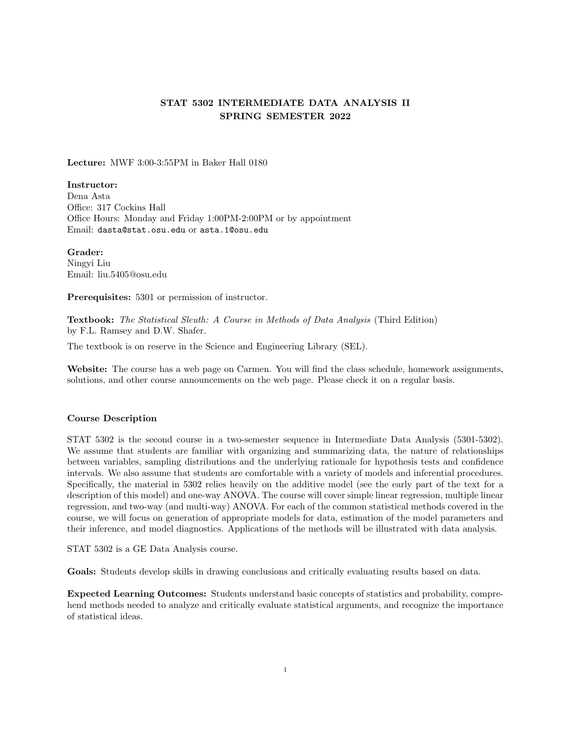# STAT 5302 INTERMEDIATE DATA ANALYSIS II SPRING SEMESTER 2022

Lecture: MWF 3:00-3:55PM in Baker Hall 0180

Instructor:

Dena Asta Office: 317 Cockins Hall Office Hours: Monday and Friday 1:00PM-2:00PM or by appointment Email: dasta@stat.osu.edu or asta.1@osu.edu

Grader: Ningyi Liu Email: liu.5405@osu.edu

Prerequisites: 5301 or permission of instructor.

Textbook: The Statistical Sleuth: A Course in Methods of Data Analysis (Third Edition) by F.L. Ramsey and D.W. Shafer.

The textbook is on reserve in the Science and Engineering Library (SEL).

Website: The course has a web page on Carmen. You will find the class schedule, homework assignments, solutions, and other course announcements on the web page. Please check it on a regular basis.

# Course Description

STAT 5302 is the second course in a two-semester sequence in Intermediate Data Analysis (5301-5302). We assume that students are familiar with organizing and summarizing data, the nature of relationships between variables, sampling distributions and the underlying rationale for hypothesis tests and confidence intervals. We also assume that students are comfortable with a variety of models and inferential procedures. Specifically, the material in 5302 relies heavily on the additive model (see the early part of the text for a description of this model) and one-way ANOVA. The course will cover simple linear regression, multiple linear regression, and two-way (and multi-way) ANOVA. For each of the common statistical methods covered in the course, we will focus on generation of appropriate models for data, estimation of the model parameters and their inference, and model diagnostics. Applications of the methods will be illustrated with data analysis.

STAT 5302 is a GE Data Analysis course.

Goals: Students develop skills in drawing conclusions and critically evaluating results based on data.

Expected Learning Outcomes: Students understand basic concepts of statistics and probability, comprehend methods needed to analyze and critically evaluate statistical arguments, and recognize the importance of statistical ideas.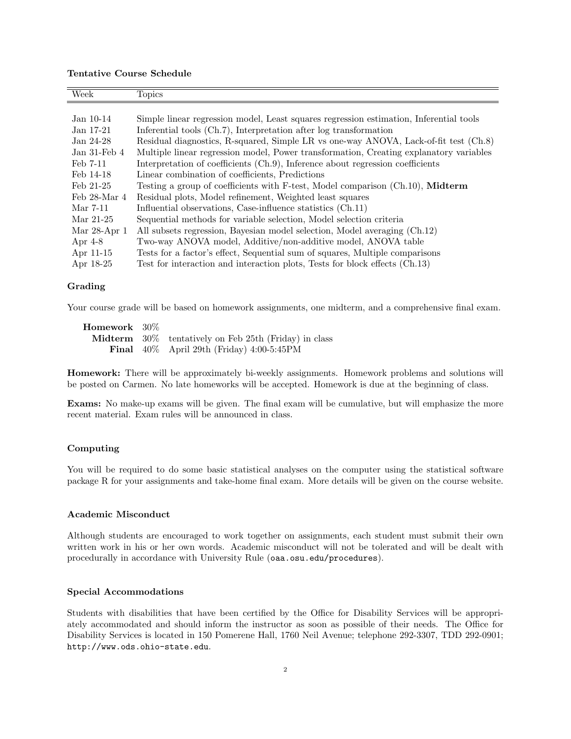## Tentative Course Schedule

| Week                | <b>Topics</b>                                                                          |  |
|---------------------|----------------------------------------------------------------------------------------|--|
|                     |                                                                                        |  |
| $Jan 10-14$         | Simple linear regression model, Least squares regression estimation, Inferential tools |  |
| Jan 17-21           | Inferential tools (Ch.7), Interpretation after log transformation                      |  |
| Jan 24-28           | Residual diagnostics, R-squared, Simple LR vs one-way ANOVA, Lack-of-fit test (Ch.8)   |  |
| Jan $31$ -Feb $4$   | Multiple linear regression model, Power transformation, Creating explanatory variables |  |
| Feb 7-11            | Interpretation of coefficients (Ch.9), Inference about regression coefficients         |  |
| Feb 14-18           | Linear combination of coefficients, Predictions                                        |  |
| $\text{Feb } 21-25$ | Testing a group of coefficients with F-test, Model comparison (Ch.10), Midterm         |  |
| Feb 28-Mar 4        | Residual plots, Model refinement, Weighted least squares                               |  |
| Mar 7-11            | Influential observations, Case-influence statistics (Ch.11)                            |  |
| Mar 21-25           | Sequential methods for variable selection, Model selection criteria                    |  |
| Mar $28$ -Apr $1$   | All subsets regression, Bayesian model selection, Model averaging (Ch.12)              |  |
| Apr $4-8$           | Two-way ANOVA model, Additive/non-additive model, ANOVA table                          |  |
| Apr 11-15           | Tests for a factor's effect, Sequential sum of squares, Multiple comparisons           |  |
| Apr 18-25           | Test for interaction and interaction plots, Tests for block effects (Ch.13)            |  |

#### Grading

Your course grade will be based on homework assignments, one midterm, and a comprehensive final exam.

| ${\bf Homework} \;\;\; 30\%$ |                                                              |
|------------------------------|--------------------------------------------------------------|
|                              | <b>Midterm</b> 30% tentatively on Feb 25th (Friday) in class |
|                              | <b>Final</b> $40\%$ April 29th (Friday) $4:00-5:45$ PM       |

Homework: There will be approximately bi-weekly assignments. Homework problems and solutions will be posted on Carmen. No late homeworks will be accepted. Homework is due at the beginning of class.

Exams: No make-up exams will be given. The final exam will be cumulative, but will emphasize the more recent material. Exam rules will be announced in class.

#### Computing

You will be required to do some basic statistical analyses on the computer using the statistical software package R for your assignments and take-home final exam. More details will be given on the course website.

#### Academic Misconduct

Although students are encouraged to work together on assignments, each student must submit their own written work in his or her own words. Academic misconduct will not be tolerated and will be dealt with procedurally in accordance with University Rule (oaa.osu.edu/procedures).

### Special Accommodations

Students with disabilities that have been certified by the Office for Disability Services will be appropriately accommodated and should inform the instructor as soon as possible of their needs. The Office for Disability Services is located in 150 Pomerene Hall, 1760 Neil Avenue; telephone 292-3307, TDD 292-0901; http://www.ods.ohio-state.edu.